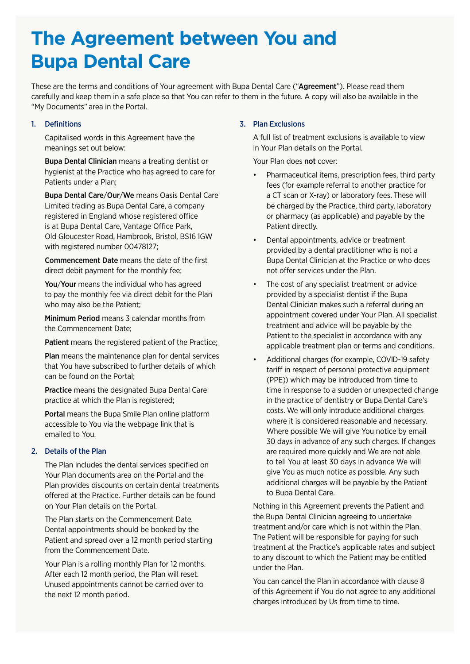# **The Agreement between You and Bupa Dental Care**

These are the terms and conditions of Your agreement with Bupa Dental Care ("Agreement"). Please read them carefully and keep them in a safe place so that You can refer to them in the future. A copy will also be available in the "My Documents" area in the Portal.

# 1. Definitions

Capitalised words in this Agreement have the meanings set out below:

Bupa Dental Clinician means a treating dentist or hygienist at the Practice who has agreed to care for Patients under a Plan;

Bupa Dental Care/Our/We means Oasis Dental Care Limited trading as Bupa Dental Care, a company registered in England whose registered office is at Bupa Dental Care, Vantage Office Park, Old Gloucester Road, Hambrook, Bristol, BS16 1GW with registered number 00478127;

Commencement Date means the date of the first direct debit payment for the monthly fee;

You/Your means the individual who has agreed to pay the monthly fee via direct debit for the Plan who may also be the Patient;

Minimum Period means 3 calendar months from the Commencement Date;

Patient means the registered patient of the Practice:

Plan means the maintenance plan for dental services that You have subscribed to further details of which can be found on the Portal;

Practice means the designated Bupa Dental Care practice at which the Plan is registered;

Portal means the Bupa Smile Plan online platform accessible to You via the webpage link that is emailed to You.

## 2. Details of the Plan

The Plan includes the dental services specified on Your Plan documents area on the Portal and the Plan provides discounts on certain dental treatments offered at the Practice. Further details can be found on Your Plan details on the Portal.

The Plan starts on the Commencement Date. Dental appointments should be booked by the Patient and spread over a 12 month period starting from the Commencement Date.

Your Plan is a rolling monthly Plan for 12 months. After each 12 month period, the Plan will reset. Unused appointments cannot be carried over to the next 12 month period.

# 3. Plan Exclusions

A full list of treatment exclusions is available to view in Your Plan details on the Portal.

Your Plan does not cover:

- Pharmaceutical items, prescription fees, third party fees (for example referral to another practice for a CT scan or X-ray) or laboratory fees. These will be charged by the Practice, third party, laboratory or pharmacy (as applicable) and payable by the Patient directly.
- Dental appointments, advice or treatment provided by a dental practitioner who is not a Bupa Dental Clinician at the Practice or who does not offer services under the Plan.
- The cost of any specialist treatment or advice provided by a specialist dentist if the Bupa Dental Clinician makes such a referral during an appointment covered under Your Plan. All specialist treatment and advice will be payable by the Patient to the specialist in accordance with any applicable treatment plan or terms and conditions.
- Additional charges (for example, COVID-19 safety tariff in respect of personal protective equipment (PPE)) which may be introduced from time to time in response to a sudden or unexpected change in the practice of dentistry or Bupa Dental Care's costs. We will only introduce additional charges where it is considered reasonable and necessary. Where possible We will give You notice by email 30 days in advance of any such charges. If changes are required more quickly and We are not able to tell You at least 30 days in advance We will give You as much notice as possible. Any such additional charges will be payable by the Patient to Bupa Dental Care.

Nothing in this Agreement prevents the Patient and the Bupa Dental Clinician agreeing to undertake treatment and/or care which is not within the Plan. The Patient will be responsible for paying for such treatment at the Practice's applicable rates and subject to any discount to which the Patient may be entitled under the Plan.

You can cancel the Plan in accordance with clause 8 of this Agreement if You do not agree to any additional charges introduced by Us from time to time.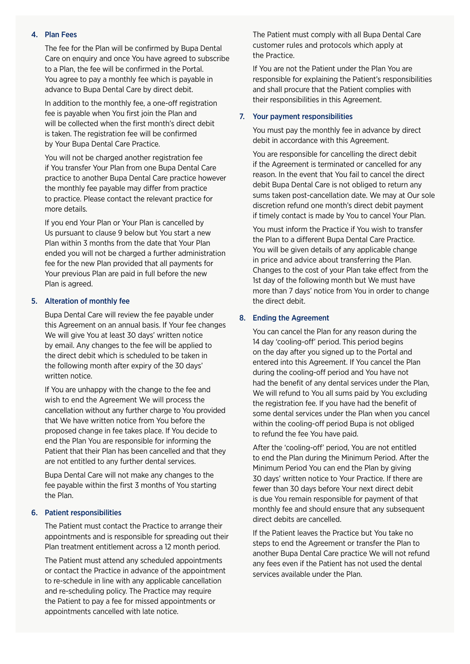#### 4. Plan Fees

The fee for the Plan will be confirmed by Bupa Dental Care on enquiry and once You have agreed to subscribe to a Plan, the fee will be confirmed in the Portal. You agree to pay a monthly fee which is payable in advance to Bupa Dental Care by direct debit.

In addition to the monthly fee, a one-off registration fee is payable when You first join the Plan and will be collected when the first month's direct debit is taken. The registration fee will be confirmed by Your Bupa Dental Care Practice.

You will not be charged another registration fee if You transfer Your Plan from one Bupa Dental Care practice to another Bupa Dental Care practice however the monthly fee payable may differ from practice to practice. Please contact the relevant practice for more details.

If you end Your Plan or Your Plan is cancelled by Us pursuant to clause 9 below but You start a new Plan within 3 months from the date that Your Plan ended you will not be charged a further administration fee for the new Plan provided that all payments for Your previous Plan are paid in full before the new Plan is agreed.

## 5. Alteration of monthly fee

Bupa Dental Care will review the fee payable under this Agreement on an annual basis. If Your fee changes We will give You at least 30 days' written notice by email. Any changes to the fee will be applied to the direct debit which is scheduled to be taken in the following month after expiry of the 30 days' written notice.

If You are unhappy with the change to the fee and wish to end the Agreement We will process the cancellation without any further charge to You provided that We have written notice from You before the proposed change in fee takes place. If You decide to end the Plan You are responsible for informing the Patient that their Plan has been cancelled and that they are not entitled to any further dental services.

Bupa Dental Care will not make any changes to the fee payable within the first 3 months of You starting the Plan.

#### 6. Patient responsibilities

The Patient must contact the Practice to arrange their appointments and is responsible for spreading out their Plan treatment entitlement across a 12 month period.

The Patient must attend any scheduled appointments or contact the Practice in advance of the appointment to re-schedule in line with any applicable cancellation and re-scheduling policy. The Practice may require the Patient to pay a fee for missed appointments or appointments cancelled with late notice.

The Patient must comply with all Bupa Dental Care customer rules and protocols which apply at the Practice.

If You are not the Patient under the Plan You are responsible for explaining the Patient's responsibilities and shall procure that the Patient complies with their responsibilities in this Agreement.

#### 7. Your payment responsibilities

You must pay the monthly fee in advance by direct debit in accordance with this Agreement.

You are responsible for cancelling the direct debit if the Agreement is terminated or cancelled for any reason. In the event that You fail to cancel the direct debit Bupa Dental Care is not obliged to return any sums taken post-cancellation date. We may at Our sole discretion refund one month's direct debit payment if timely contact is made by You to cancel Your Plan.

You must inform the Practice if You wish to transfer the Plan to a different Bupa Dental Care Practice. You will be given details of any applicable change in price and advice about transferring the Plan. Changes to the cost of your Plan take effect from the 1st day of the following month but We must have more than 7 days' notice from You in order to change the direct debit.

### 8. Ending the Agreement

You can cancel the Plan for any reason during the 14 day 'cooling-off' period. This period begins on the day after you signed up to the Portal and entered into this Agreement. If You cancel the Plan during the cooling-off period and You have not had the benefit of any dental services under the Plan, We will refund to You all sums paid by You excluding the registration fee. If you have had the benefit of some dental services under the Plan when you cancel within the cooling-off period Bupa is not obliged to refund the fee You have paid.

After the 'cooling-off' period, You are not entitled to end the Plan during the Minimum Period. After the Minimum Period You can end the Plan by giving 30 days' written notice to Your Practice. If there are fewer than 30 days before Your next direct debit is due You remain responsible for payment of that monthly fee and should ensure that any subsequent direct debits are cancelled.

If the Patient leaves the Practice but You take no steps to end the Agreement or transfer the Plan to another Bupa Dental Care practice We will not refund any fees even if the Patient has not used the dental services available under the Plan.